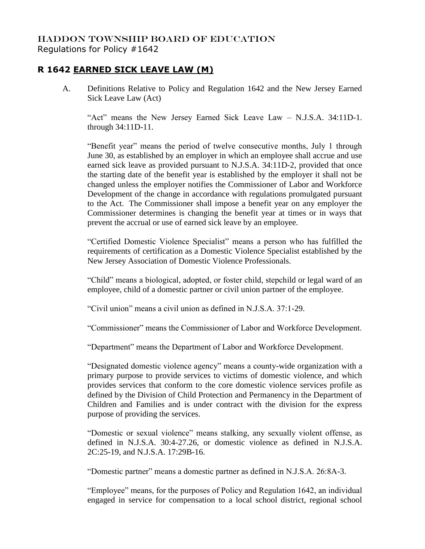## HADDON TOWNSHIP BOARD OF EDUCATION Regulations for Policy #1642

## **R 1642 EARNED SICK LEAVE LAW (M)**

A. Definitions Relative to Policy and Regulation 1642 and the New Jersey Earned Sick Leave Law (Act)

"Act" means the New Jersey Earned Sick Leave Law – N.J.S.A. 34:11D-1. through 34:11D-11.

"Benefit year" means the period of twelve consecutive months, July 1 through June 30, as established by an employer in which an employee shall accrue and use earned sick leave as provided pursuant to N.J.S.A. 34:11D-2, provided that once the starting date of the benefit year is established by the employer it shall not be changed unless the employer notifies the Commissioner of Labor and Workforce Development of the change in accordance with regulations promulgated pursuant to the Act. The Commissioner shall impose a benefit year on any employer the Commissioner determines is changing the benefit year at times or in ways that prevent the accrual or use of earned sick leave by an employee.

"Certified Domestic Violence Specialist" means a person who has fulfilled the requirements of certification as a Domestic Violence Specialist established by the New Jersey Association of Domestic Violence Professionals.

"Child" means a biological, adopted, or foster child, stepchild or legal ward of an employee, child of a domestic partner or civil union partner of the employee.

"Civil union" means a civil union as defined in N.J.S.A. 37:1-29.

"Commissioner" means the Commissioner of Labor and Workforce Development.

"Department" means the Department of Labor and Workforce Development.

"Designated domestic violence agency" means a county-wide organization with a primary purpose to provide services to victims of domestic violence, and which provides services that conform to the core domestic violence services profile as defined by the Division of Child Protection and Permanency in the Department of Children and Families and is under contract with the division for the express purpose of providing the services.

"Domestic or sexual violence" means stalking, any sexually violent offense, as defined in N.J.S.A. 30:4-27.26, or domestic violence as defined in N.J.S.A. 2C:25-19, and N.J.S.A. 17:29B-16.

"Domestic partner" means a domestic partner as defined in N.J.S.A. 26:8A-3.

"Employee" means, for the purposes of Policy and Regulation 1642, an individual engaged in service for compensation to a local school district, regional school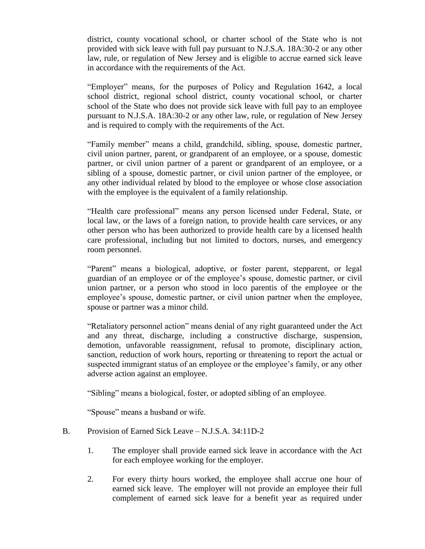district, county vocational school, or charter school of the State who is not provided with sick leave with full pay pursuant to N.J.S.A. 18A:30-2 or any other law, rule, or regulation of New Jersey and is eligible to accrue earned sick leave in accordance with the requirements of the Act.

"Employer" means, for the purposes of Policy and Regulation 1642, a local school district, regional school district, county vocational school, or charter school of the State who does not provide sick leave with full pay to an employee pursuant to N.J.S.A. 18A:30-2 or any other law, rule, or regulation of New Jersey and is required to comply with the requirements of the Act.

"Family member" means a child, grandchild, sibling, spouse, domestic partner, civil union partner, parent, or grandparent of an employee, or a spouse, domestic partner, or civil union partner of a parent or grandparent of an employee, or a sibling of a spouse, domestic partner, or civil union partner of the employee, or any other individual related by blood to the employee or whose close association with the employee is the equivalent of a family relationship.

"Health care professional" means any person licensed under Federal, State, or local law, or the laws of a foreign nation, to provide health care services, or any other person who has been authorized to provide health care by a licensed health care professional, including but not limited to doctors, nurses, and emergency room personnel.

"Parent" means a biological, adoptive, or foster parent, stepparent, or legal guardian of an employee or of the employee's spouse, domestic partner, or civil union partner, or a person who stood in loco parentis of the employee or the employee's spouse, domestic partner, or civil union partner when the employee, spouse or partner was a minor child.

"Retaliatory personnel action" means denial of any right guaranteed under the Act and any threat, discharge, including a constructive discharge, suspension, demotion, unfavorable reassignment, refusal to promote, disciplinary action, sanction, reduction of work hours, reporting or threatening to report the actual or suspected immigrant status of an employee or the employee's family, or any other adverse action against an employee.

"Sibling" means a biological, foster, or adopted sibling of an employee.

"Spouse" means a husband or wife.

- B. Provision of Earned Sick Leave N.J.S.A. 34:11D-2
	- 1. The employer shall provide earned sick leave in accordance with the Act for each employee working for the employer.
	- 2. For every thirty hours worked, the employee shall accrue one hour of earned sick leave. The employer will not provide an employee their full complement of earned sick leave for a benefit year as required under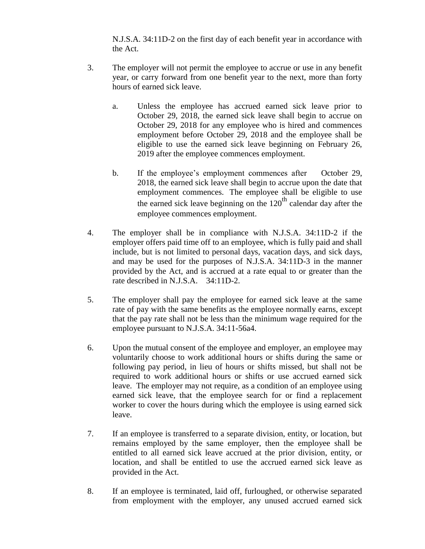N.J.S.A. 34:11D-2 on the first day of each benefit year in accordance with the Act.

- 3. The employer will not permit the employee to accrue or use in any benefit year, or carry forward from one benefit year to the next, more than forty hours of earned sick leave.
	- a. Unless the employee has accrued earned sick leave prior to October 29, 2018, the earned sick leave shall begin to accrue on October 29, 2018 for any employee who is hired and commences employment before October 29, 2018 and the employee shall be eligible to use the earned sick leave beginning on February 26, 2019 after the employee commences employment.
	- b. If the employee's employment commences after October 29, 2018, the earned sick leave shall begin to accrue upon the date that employment commences. The employee shall be eligible to use the earned sick leave beginning on the  $120<sup>th</sup>$  calendar day after the employee commences employment.
- 4. The employer shall be in compliance with N.J.S.A. 34:11D-2 if the employer offers paid time off to an employee, which is fully paid and shall include, but is not limited to personal days, vacation days, and sick days, and may be used for the purposes of N.J.S.A. 34:11D-3 in the manner provided by the Act, and is accrued at a rate equal to or greater than the rate described in N.J.S.A. 34:11D-2.
- 5. The employer shall pay the employee for earned sick leave at the same rate of pay with the same benefits as the employee normally earns, except that the pay rate shall not be less than the minimum wage required for the employee pursuant to N.J.S.A. 34:11-56a4.
- 6. Upon the mutual consent of the employee and employer, an employee may voluntarily choose to work additional hours or shifts during the same or following pay period, in lieu of hours or shifts missed, but shall not be required to work additional hours or shifts or use accrued earned sick leave. The employer may not require, as a condition of an employee using earned sick leave, that the employee search for or find a replacement worker to cover the hours during which the employee is using earned sick leave.
- 7. If an employee is transferred to a separate division, entity, or location, but remains employed by the same employer, then the employee shall be entitled to all earned sick leave accrued at the prior division, entity, or location, and shall be entitled to use the accrued earned sick leave as provided in the Act.
- 8. If an employee is terminated, laid off, furloughed, or otherwise separated from employment with the employer, any unused accrued earned sick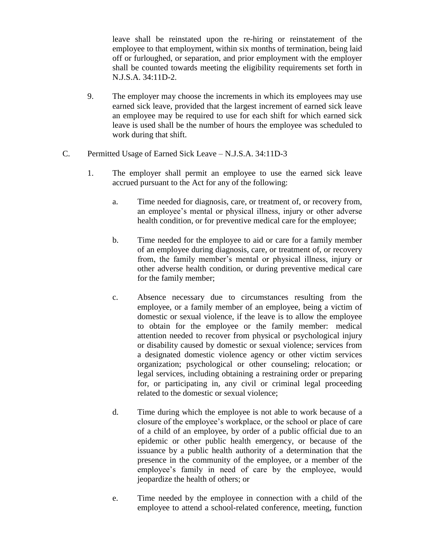leave shall be reinstated upon the re-hiring or reinstatement of the employee to that employment, within six months of termination, being laid off or furloughed, or separation, and prior employment with the employer shall be counted towards meeting the eligibility requirements set forth in N.J.S.A. 34:11D-2.

- 9. The employer may choose the increments in which its employees may use earned sick leave, provided that the largest increment of earned sick leave an employee may be required to use for each shift for which earned sick leave is used shall be the number of hours the employee was scheduled to work during that shift.
- C. Permitted Usage of Earned Sick Leave N.J.S.A. 34:11D-3
	- 1. The employer shall permit an employee to use the earned sick leave accrued pursuant to the Act for any of the following:
		- a. Time needed for diagnosis, care, or treatment of, or recovery from, an employee's mental or physical illness, injury or other adverse health condition, or for preventive medical care for the employee;
		- b. Time needed for the employee to aid or care for a family member of an employee during diagnosis, care, or treatment of, or recovery from, the family member's mental or physical illness, injury or other adverse health condition, or during preventive medical care for the family member;
		- c. Absence necessary due to circumstances resulting from the employee, or a family member of an employee, being a victim of domestic or sexual violence, if the leave is to allow the employee to obtain for the employee or the family member: medical attention needed to recover from physical or psychological injury or disability caused by domestic or sexual violence; services from a designated domestic violence agency or other victim services organization; psychological or other counseling; relocation; or legal services, including obtaining a restraining order or preparing for, or participating in, any civil or criminal legal proceeding related to the domestic or sexual violence;
		- d. Time during which the employee is not able to work because of a closure of the employee's workplace, or the school or place of care of a child of an employee, by order of a public official due to an epidemic or other public health emergency, or because of the issuance by a public health authority of a determination that the presence in the community of the employee, or a member of the employee's family in need of care by the employee, would jeopardize the health of others; or
		- e. Time needed by the employee in connection with a child of the employee to attend a school-related conference, meeting, function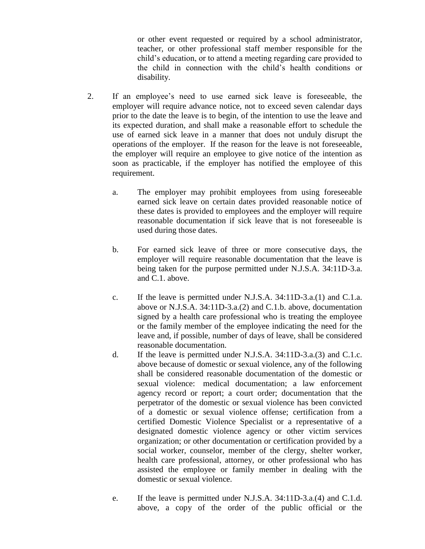or other event requested or required by a school administrator, teacher, or other professional staff member responsible for the child's education, or to attend a meeting regarding care provided to the child in connection with the child's health conditions or disability.

- 2. If an employee's need to use earned sick leave is foreseeable, the employer will require advance notice, not to exceed seven calendar days prior to the date the leave is to begin, of the intention to use the leave and its expected duration, and shall make a reasonable effort to schedule the use of earned sick leave in a manner that does not unduly disrupt the operations of the employer. If the reason for the leave is not foreseeable, the employer will require an employee to give notice of the intention as soon as practicable, if the employer has notified the employee of this requirement.
	- a. The employer may prohibit employees from using foreseeable earned sick leave on certain dates provided reasonable notice of these dates is provided to employees and the employer will require reasonable documentation if sick leave that is not foreseeable is used during those dates.
	- b. For earned sick leave of three or more consecutive days, the employer will require reasonable documentation that the leave is being taken for the purpose permitted under N.J.S.A. 34:11D-3.a. and C.1. above.
	- c. If the leave is permitted under N.J.S.A. 34:11D-3.a.(1) and C.1.a. above or N.J.S.A. 34:11D-3.a.(2) and C.1.b. above, documentation signed by a health care professional who is treating the employee or the family member of the employee indicating the need for the leave and, if possible, number of days of leave, shall be considered reasonable documentation.
	- d. If the leave is permitted under N.J.S.A. 34:11D-3.a.(3) and C.1.c. above because of domestic or sexual violence, any of the following shall be considered reasonable documentation of the domestic or sexual violence: medical documentation; a law enforcement agency record or report; a court order; documentation that the perpetrator of the domestic or sexual violence has been convicted of a domestic or sexual violence offense; certification from a certified Domestic Violence Specialist or a representative of a designated domestic violence agency or other victim services organization; or other documentation or certification provided by a social worker, counselor, member of the clergy, shelter worker, health care professional, attorney, or other professional who has assisted the employee or family member in dealing with the domestic or sexual violence.
	- e. If the leave is permitted under N.J.S.A. 34:11D-3.a.(4) and C.1.d. above, a copy of the order of the public official or the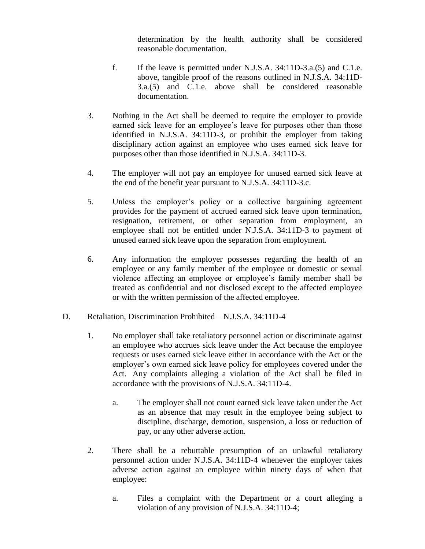determination by the health authority shall be considered reasonable documentation.

- f. If the leave is permitted under N.J.S.A. 34:11D-3.a.(5) and C.1.e. above, tangible proof of the reasons outlined in N.J.S.A. 34:11D-3.a.(5) and C.1.e. above shall be considered reasonable documentation.
- 3. Nothing in the Act shall be deemed to require the employer to provide earned sick leave for an employee's leave for purposes other than those identified in N.J.S.A. 34:11D-3, or prohibit the employer from taking disciplinary action against an employee who uses earned sick leave for purposes other than those identified in N.J.S.A. 34:11D-3.
- 4. The employer will not pay an employee for unused earned sick leave at the end of the benefit year pursuant to N.J.S.A. 34:11D-3.c.
- 5. Unless the employer's policy or a collective bargaining agreement provides for the payment of accrued earned sick leave upon termination, resignation, retirement, or other separation from employment, an employee shall not be entitled under N.J.S.A. 34:11D-3 to payment of unused earned sick leave upon the separation from employment.
- 6. Any information the employer possesses regarding the health of an employee or any family member of the employee or domestic or sexual violence affecting an employee or employee's family member shall be treated as confidential and not disclosed except to the affected employee or with the written permission of the affected employee.
- D. Retaliation, Discrimination Prohibited N.J.S.A. 34:11D-4
	- 1. No employer shall take retaliatory personnel action or discriminate against an employee who accrues sick leave under the Act because the employee requests or uses earned sick leave either in accordance with the Act or the employer's own earned sick leave policy for employees covered under the Act. Any complaints alleging a violation of the Act shall be filed in accordance with the provisions of N.J.S.A. 34:11D-4.
		- a. The employer shall not count earned sick leave taken under the Act as an absence that may result in the employee being subject to discipline, discharge, demotion, suspension, a loss or reduction of pay, or any other adverse action.
	- 2. There shall be a rebuttable presumption of an unlawful retaliatory personnel action under N.J.S.A. 34:11D-4 whenever the employer takes adverse action against an employee within ninety days of when that employee:
		- a. Files a complaint with the Department or a court alleging a violation of any provision of N.J.S.A. 34:11D-4;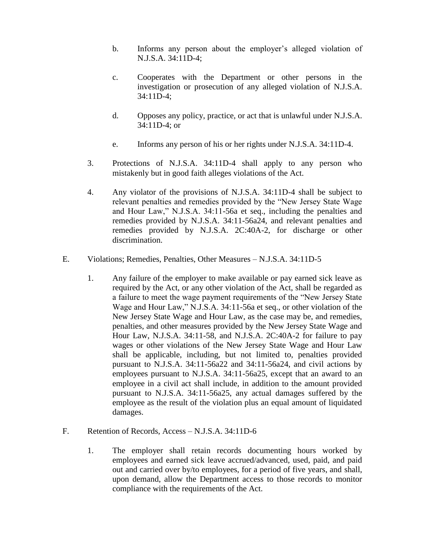- b. Informs any person about the employer's alleged violation of N.J.S.A. 34:11D-4;
- c. Cooperates with the Department or other persons in the investigation or prosecution of any alleged violation of N.J.S.A. 34:11D-4;
- d. Opposes any policy, practice, or act that is unlawful under N.J.S.A. 34:11D-4; or
- e. Informs any person of his or her rights under N.J.S.A. 34:11D-4.
- 3. Protections of N.J.S.A. 34:11D-4 shall apply to any person who mistakenly but in good faith alleges violations of the Act.
- 4. Any violator of the provisions of N.J.S.A. 34:11D-4 shall be subject to relevant penalties and remedies provided by the "New Jersey State Wage and Hour Law," N.J.S.A. 34:11-56a et seq., including the penalties and remedies provided by N.J.S.A. 34:11-56a24, and relevant penalties and remedies provided by N.J.S.A. 2C:40A-2, for discharge or other discrimination.
- E. Violations; Remedies, Penalties, Other Measures N.J.S.A. 34:11D-5
	- 1. Any failure of the employer to make available or pay earned sick leave as required by the Act, or any other violation of the Act, shall be regarded as a failure to meet the wage payment requirements of the "New Jersey State Wage and Hour Law," N.J.S.A. 34:11-56a et seq., or other violation of the New Jersey State Wage and Hour Law, as the case may be, and remedies, penalties, and other measures provided by the New Jersey State Wage and Hour Law, N.J.S.A. 34:11-58, and N.J.S.A. 2C:40A-2 for failure to pay wages or other violations of the New Jersey State Wage and Hour Law shall be applicable, including, but not limited to, penalties provided pursuant to N.J.S.A. 34:11-56a22 and 34:11-56a24, and civil actions by employees pursuant to N.J.S.A. 34:11-56a25, except that an award to an employee in a civil act shall include, in addition to the amount provided pursuant to N.J.S.A. 34:11-56a25, any actual damages suffered by the employee as the result of the violation plus an equal amount of liquidated damages.
- F. Retention of Records, Access N.J.S.A. 34:11D-6
	- 1. The employer shall retain records documenting hours worked by employees and earned sick leave accrued/advanced, used, paid, and paid out and carried over by/to employees, for a period of five years, and shall, upon demand, allow the Department access to those records to monitor compliance with the requirements of the Act.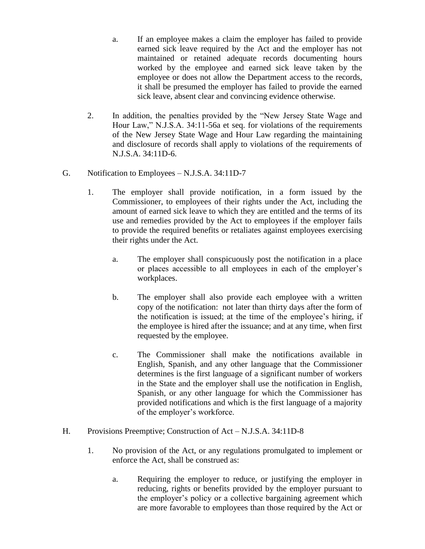a. If an employee makes a claim the employer has failed to provide earned sick leave required by the Act and the employer has not maintained or retained adequate records documenting hours worked by the employee and earned sick leave taken by the employee or does not allow the Department access to the records, it shall be presumed the employer has failed to provide the earned sick leave, absent clear and convincing evidence otherwise.

- 2. In addition, the penalties provided by the "New Jersey State Wage and Hour Law," N.J.S.A. 34:11-56a et seq. for violations of the requirements of the New Jersey State Wage and Hour Law regarding the maintaining and disclosure of records shall apply to violations of the requirements of N.J.S.A. 34:11D-6.
- G. Notification to Employees N.J.S.A. 34:11D-7
	- 1. The employer shall provide notification, in a form issued by the Commissioner, to employees of their rights under the Act, including the amount of earned sick leave to which they are entitled and the terms of its use and remedies provided by the Act to employees if the employer fails to provide the required benefits or retaliates against employees exercising their rights under the Act.
		- a. The employer shall conspicuously post the notification in a place or places accessible to all employees in each of the employer's workplaces.
		- b. The employer shall also provide each employee with a written copy of the notification: not later than thirty days after the form of the notification is issued; at the time of the employee's hiring, if the employee is hired after the issuance; and at any time, when first requested by the employee.
		- c. The Commissioner shall make the notifications available in English, Spanish, and any other language that the Commissioner determines is the first language of a significant number of workers in the State and the employer shall use the notification in English, Spanish, or any other language for which the Commissioner has provided notifications and which is the first language of a majority of the employer's workforce.
- H. Provisions Preemptive; Construction of Act N.J.S.A. 34:11D-8
	- 1. No provision of the Act, or any regulations promulgated to implement or enforce the Act, shall be construed as:
		- a. Requiring the employer to reduce, or justifying the employer in reducing, rights or benefits provided by the employer pursuant to the employer's policy or a collective bargaining agreement which are more favorable to employees than those required by the Act or